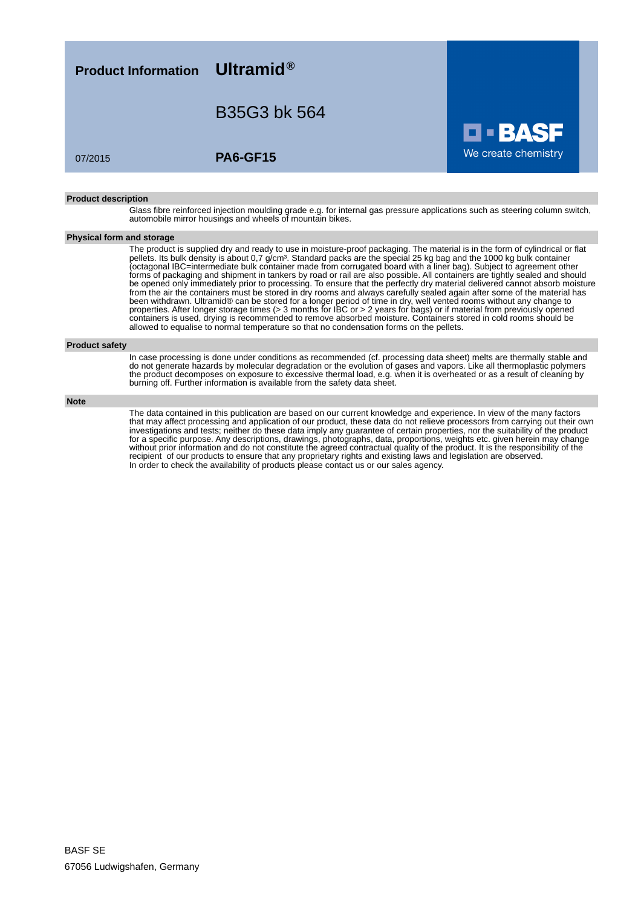**Product Information Ultramid®**

B35G3 bk 564

07/2015 **PA6-GF15**

#### **Product description**

Glass fibre reinforced injection moulding grade e.g. for internal gas pressure applications such as steering column switch, automobile mirror housings and wheels of mountain bikes.

We create chemistry

### **Physical form and storage**

The product is supplied dry and ready to use in moisture-proof packaging. The material is in the form of cylindrical or flat pellets. Its bulk density is about 0,7 g/cm<sup>3</sup>. Standard packs are the special 25 kg bag and the 1000 kg bulk container (octagonal IBC=intermediate bulk container made from corrugated board with a liner bag). Subject to agreement other forms of packaging and shipment in tankers by road or rail are also possible. All containers are tightly sealed and should be opened only immediately prior to processing. To ensure that the perfectly dry material delivered cannot absorb moisture from the air the containers must be stored in dry rooms and always carefully sealed again after some of the material has been withdrawn. Ultramid® can be stored for a longer period of time in dry, well vented rooms without any change to properties. After longer storage times (> 3 months for IBC or > 2 years for bags) or if material from previously opened containers is used, drying is recommended to remove absorbed moisture. Containers stored in cold rooms should be allowed to equalise to normal temperature so that no condensation forms on the pellets.

#### **Product safety**

In case processing is done under conditions as recommended (cf. processing data sheet) melts are thermally stable and do not generate hazards by molecular degradation or the evolution of gases and vapors. Like all thermoplastic polymers the product decomposes on exposure to excessive thermal load, e.g. when it is overheated or as a result of cleaning by burning off. Further information is available from the safety data sheet.

#### **Note**

The data contained in this publication are based on our current knowledge and experience. In view of the many factors that may affect processing and application of our product, these data do not relieve processors from carrying out their own investigations and tests; neither do these data imply any guarantee of certain properties, nor the suitability of the product for a specific purpose. Any descriptions, drawings, photographs, data, proportions, weights etc. given herein may change without prior information and do not constitute the agreed contractual quality of the product. It is the responsibility of the recipient of our products to ensure that any proprietary rights and existing laws and legislation are observed. In order to check the availability of products please contact us or our sales agency.